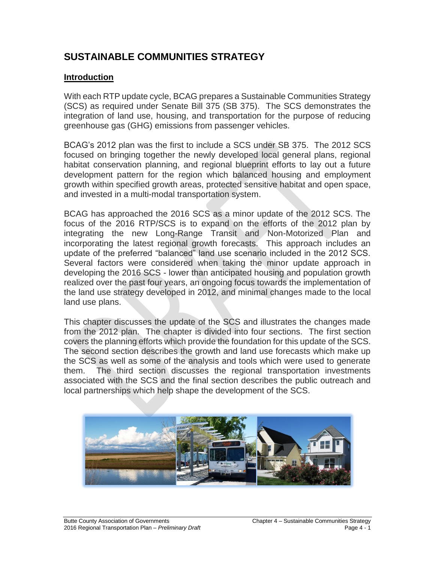# **SUSTAINABLE COMMUNITIES STRATEGY**

### **Introduction**

With each RTP update cycle, BCAG prepares a Sustainable Communities Strategy (SCS) as required under Senate Bill 375 (SB 375). The SCS demonstrates the integration of land use, housing, and transportation for the purpose of reducing greenhouse gas (GHG) emissions from passenger vehicles.

BCAG's 2012 plan was the first to include a SCS under SB 375. The 2012 SCS focused on bringing together the newly developed local general plans, regional habitat conservation planning, and regional blueprint efforts to lay out a future development pattern for the region which balanced housing and employment growth within specified growth areas, protected sensitive habitat and open space, and invested in a multi-modal transportation system.

BCAG has approached the 2016 SCS as a minor update of the 2012 SCS. The focus of the 2016 RTP/SCS is to expand on the efforts of the 2012 plan by integrating the new Long-Range Transit and Non-Motorized Plan and incorporating the latest regional growth forecasts. This approach includes an update of the preferred "balanced" land use scenario included in the 2012 SCS. Several factors were considered when taking the minor update approach in developing the 2016 SCS - lower than anticipated housing and population growth realized over the past four years, an ongoing focus towards the implementation of the land use strategy developed in 2012, and minimal changes made to the local land use plans.

This chapter discusses the update of the SCS and illustrates the changes made from the 2012 plan. The chapter is divided into four sections. The first section covers the planning efforts which provide the foundation for this update of the SCS. The second section describes the growth and land use forecasts which make up the SCS as well as some of the analysis and tools which were used to generate them. The third section discusses the regional transportation investments associated with the SCS and the final section describes the public outreach and local partnerships which help shape the development of the SCS.

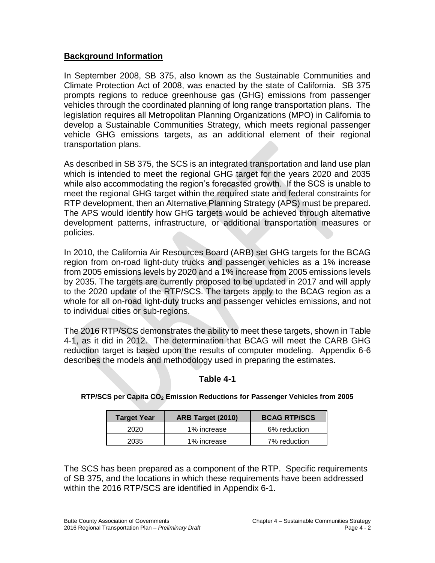### **Background Information**

In September 2008, SB 375, also known as the Sustainable Communities and Climate Protection Act of 2008, was enacted by the state of California. SB 375 prompts regions to reduce greenhouse gas (GHG) emissions from passenger vehicles through the coordinated planning of long range transportation plans. The legislation requires all Metropolitan Planning Organizations (MPO) in California to develop a Sustainable Communities Strategy, which meets regional passenger vehicle GHG emissions targets, as an additional element of their regional transportation plans.

As described in SB 375, the SCS is an integrated transportation and land use plan which is intended to meet the regional GHG target for the years 2020 and 2035 while also accommodating the region's forecasted growth. If the SCS is unable to meet the regional GHG target within the required state and federal constraints for RTP development, then an Alternative Planning Strategy (APS) must be prepared. The APS would identify how GHG targets would be achieved through alternative development patterns, infrastructure, or additional transportation measures or policies.

In 2010, the California Air Resources Board (ARB) set GHG targets for the BCAG region from on-road light-duty trucks and passenger vehicles as a 1% increase from 2005 emissions levels by 2020 and a 1% increase from 2005 emissions levels by 2035. The targets are currently proposed to be updated in 2017 and will apply to the 2020 update of the RTP/SCS. The targets apply to the BCAG region as a whole for all on-road light-duty trucks and passenger vehicles emissions, and not to individual cities or sub-regions.

The 2016 RTP/SCS demonstrates the ability to meet these targets, shown in Table 4-1, as it did in 2012. The determination that BCAG will meet the CARB GHG reduction target is based upon the results of computer modeling. Appendix 6-6 describes the models and methodology used in preparing the estimates.

# **Table 4-1**

| <b>Target Year</b> | ARB Target (2010) | <b>BCAG RTP/SCS</b> |
|--------------------|-------------------|---------------------|
| 2020               | 1% increase       | 6% reduction        |
| 2035               | 1% increase       | 7% reduction        |

### **RTP/SCS per Capita CO<sup>2</sup> Emission Reductions for Passenger Vehicles from 2005**

The SCS has been prepared as a component of the RTP. Specific requirements of SB 375, and the locations in which these requirements have been addressed within the 2016 RTP/SCS are identified in Appendix 6-1.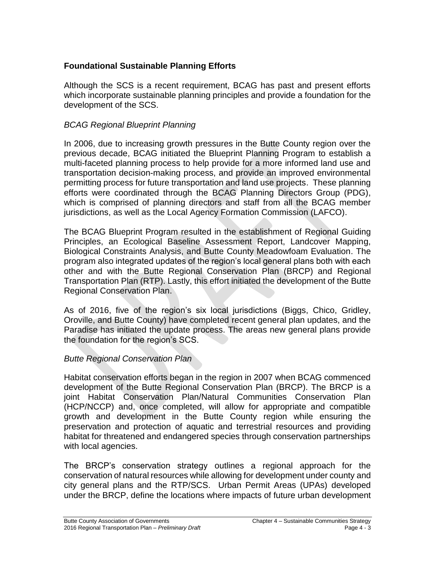# **Foundational Sustainable Planning Efforts**

Although the SCS is a recent requirement, BCAG has past and present efforts which incorporate sustainable planning principles and provide a foundation for the development of the SCS.

# *BCAG Regional Blueprint Planning*

In 2006, due to increasing growth pressures in the Butte County region over the previous decade, BCAG initiated the Blueprint Planning Program to establish a multi-faceted planning process to help provide for a more informed land use and transportation decision-making process, and provide an improved environmental permitting process for future transportation and land use projects. These planning efforts were coordinated through the BCAG Planning Directors Group (PDG), which is comprised of planning directors and staff from all the BCAG member jurisdictions, as well as the Local Agency Formation Commission (LAFCO).

The BCAG Blueprint Program resulted in the establishment of Regional Guiding Principles, an Ecological Baseline Assessment Report, Landcover Mapping, Biological Constraints Analysis, and Butte County Meadowfoam Evaluation. The program also integrated updates of the region's local general plans both with each other and with the Butte Regional Conservation Plan (BRCP) and Regional Transportation Plan (RTP). Lastly, this effort initiated the development of the Butte Regional Conservation Plan.

As of 2016, five of the region's six local jurisdictions (Biggs, Chico, Gridley, Oroville, and Butte County) have completed recent general plan updates, and the Paradise has initiated the update process. The areas new general plans provide the foundation for the region's SCS.

# *Butte Regional Conservation Plan*

Habitat conservation efforts began in the region in 2007 when BCAG commenced development of the Butte Regional Conservation Plan (BRCP). The BRCP is a joint Habitat Conservation Plan/Natural Communities Conservation Plan (HCP/NCCP) and, once completed, will allow for appropriate and compatible growth and development in the Butte County region while ensuring the preservation and protection of aquatic and terrestrial resources and providing habitat for threatened and endangered species through conservation partnerships with local agencies.

The BRCP's conservation strategy outlines a regional approach for the conservation of natural resources while allowing for development under county and city general plans and the RTP/SCS. Urban Permit Areas (UPAs) developed under the BRCP, define the locations where impacts of future urban development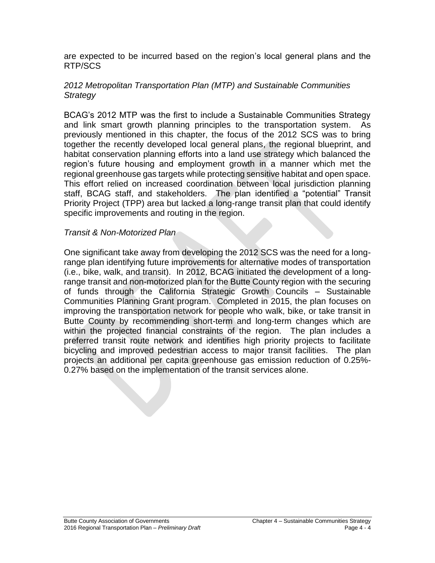are expected to be incurred based on the region's local general plans and the RTP/SCS

### *2012 Metropolitan Transportation Plan (MTP) and Sustainable Communities Strategy*

BCAG's 2012 MTP was the first to include a Sustainable Communities Strategy and link smart growth planning principles to the transportation system. As previously mentioned in this chapter, the focus of the 2012 SCS was to bring together the recently developed local general plans, the regional blueprint, and habitat conservation planning efforts into a land use strategy which balanced the region's future housing and employment growth in a manner which met the regional greenhouse gas targets while protecting sensitive habitat and open space. This effort relied on increased coordination between local jurisdiction planning staff, BCAG staff, and stakeholders. The plan identified a "potential" Transit Priority Project (TPP) area but lacked a long-range transit plan that could identify specific improvements and routing in the region.

#### *Transit & Non-Motorized Plan*

One significant take away from developing the 2012 SCS was the need for a longrange plan identifying future improvements for alternative modes of transportation (i.e., bike, walk, and transit). In 2012, BCAG initiated the development of a longrange transit and non-motorized plan for the Butte County region with the securing of funds through the California Strategic Growth Councils – Sustainable Communities Planning Grant program. Completed in 2015, the plan focuses on improving the transportation network for people who walk, bike, or take transit in Butte County by recommending short-term and long-term changes which are within the projected financial constraints of the region. The plan includes a preferred transit route network and identifies high priority projects to facilitate bicycling and improved pedestrian access to major transit facilities. The plan projects an additional per capita greenhouse gas emission reduction of 0.25%- 0.27% based on the implementation of the transit services alone.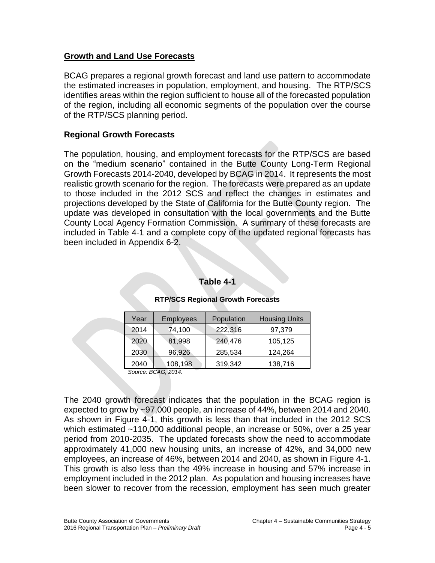### **Growth and Land Use Forecasts**

BCAG prepares a regional growth forecast and land use pattern to accommodate the estimated increases in population, employment, and housing. The RTP/SCS identifies areas within the region sufficient to house all of the forecasted population of the region, including all economic segments of the population over the course of the RTP/SCS planning period.

## **Regional Growth Forecasts**

The population, housing, and employment forecasts for the RTP/SCS are based on the "medium scenario" contained in the Butte County Long-Term Regional Growth Forecasts 2014-2040, developed by BCAG in 2014. It represents the most realistic growth scenario for the region. The forecasts were prepared as an update to those included in the 2012 SCS and reflect the changes in estimates and projections developed by the State of California for the Butte County region. The update was developed in consultation with the local governments and the Butte County Local Agency Formation Commission. A summary of these forecasts are included in Table 4-1 and a complete copy of the updated regional forecasts has been included in Appendix 6-2.

### **Table 4-1**

| <b>Employees</b> | Population | <b>Housing Units</b> |
|------------------|------------|----------------------|
| 74,100           | 222,316    | 97,379               |
| 81,998           | 240,476    | 105,125              |
| 96,926           | 285,534    | 124,264              |
| 108,198          | 319,342    | 138,716              |
|                  |            |                      |

#### **RTP/SCS Regional Growth Forecasts**

*Source: BCAG, 2014.*

The 2040 growth forecast indicates that the population in the BCAG region is expected to grow by ~97,000 people, an increase of 44%, between 2014 and 2040. As shown in Figure 4-1, this growth is less than that included in the 2012 SCS which estimated ~110,000 additional people, an increase or 50%, over a 25 year period from 2010-2035. The updated forecasts show the need to accommodate approximately 41,000 new housing units, an increase of 42%, and 34,000 new employees, an increase of 46%, between 2014 and 2040, as shown in Figure 4-1. This growth is also less than the 49% increase in housing and 57% increase in employment included in the 2012 plan. As population and housing increases have been slower to recover from the recession, employment has seen much greater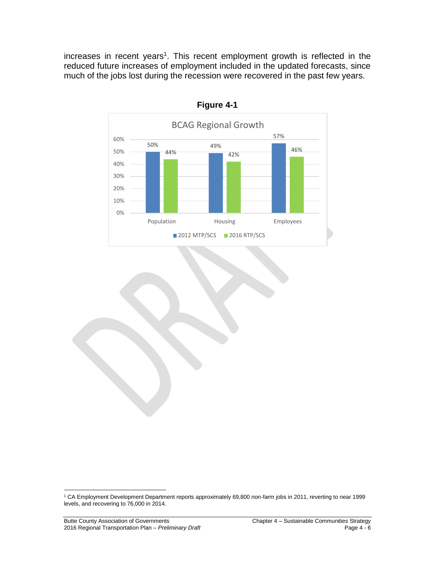increases in recent years<sup>1</sup>. This recent employment growth is reflected in the reduced future increases of employment included in the updated forecasts, since much of the jobs lost during the recession were recovered in the past few years.



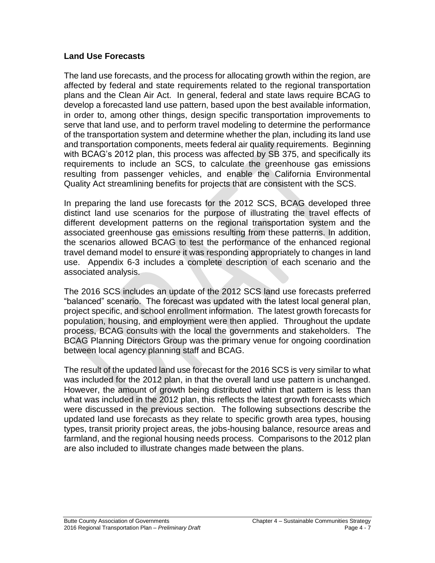### **Land Use Forecasts**

The land use forecasts, and the process for allocating growth within the region, are affected by federal and state requirements related to the regional transportation plans and the Clean Air Act. In general, federal and state laws require BCAG to develop a forecasted land use pattern, based upon the best available information, in order to, among other things, design specific transportation improvements to serve that land use, and to perform travel modeling to determine the performance of the transportation system and determine whether the plan, including its land use and transportation components, meets federal air quality requirements. Beginning with BCAG's 2012 plan, this process was affected by SB 375, and specifically its requirements to include an SCS, to calculate the greenhouse gas emissions resulting from passenger vehicles, and enable the California Environmental Quality Act streamlining benefits for projects that are consistent with the SCS.

In preparing the land use forecasts for the 2012 SCS, BCAG developed three distinct land use scenarios for the purpose of illustrating the travel effects of different development patterns on the regional transportation system and the associated greenhouse gas emissions resulting from these patterns. In addition, the scenarios allowed BCAG to test the performance of the enhanced regional travel demand model to ensure it was responding appropriately to changes in land use. Appendix 6-3 includes a complete description of each scenario and the associated analysis.

The 2016 SCS includes an update of the 2012 SCS land use forecasts preferred "balanced" scenario. The forecast was updated with the latest local general plan, project specific, and school enrollment information. The latest growth forecasts for population, housing, and employment were then applied. Throughout the update process, BCAG consults with the local the governments and stakeholders. The BCAG Planning Directors Group was the primary venue for ongoing coordination between local agency planning staff and BCAG.

The result of the updated land use forecast for the 2016 SCS is very similar to what was included for the 2012 plan, in that the overall land use pattern is unchanged. However, the amount of growth being distributed within that pattern is less than what was included in the 2012 plan, this reflects the latest growth forecasts which were discussed in the previous section. The following subsections describe the updated land use forecasts as they relate to specific growth area types, housing types, transit priority project areas, the jobs-housing balance, resource areas and farmland, and the regional housing needs process. Comparisons to the 2012 plan are also included to illustrate changes made between the plans.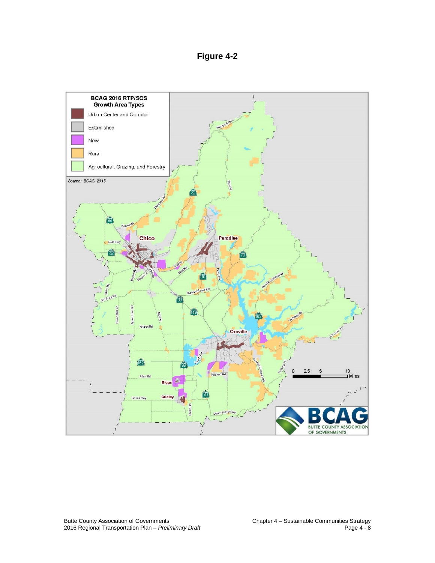**Figure 4-2**

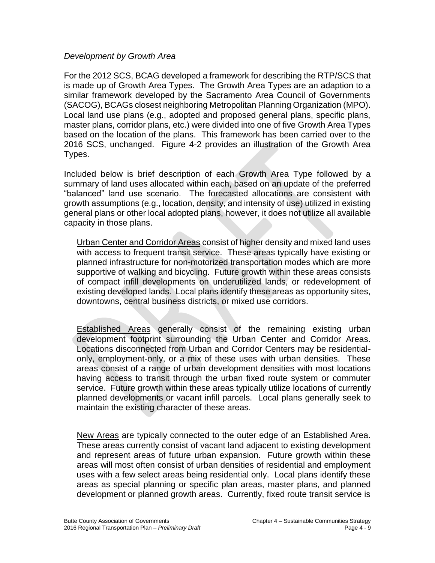### *Development by Growth Area*

For the 2012 SCS, BCAG developed a framework for describing the RTP/SCS that is made up of Growth Area Types. The Growth Area Types are an adaption to a similar framework developed by the Sacramento Area Council of Governments (SACOG), BCAGs closest neighboring Metropolitan Planning Organization (MPO). Local land use plans (e.g., adopted and proposed general plans, specific plans, master plans, corridor plans, etc.) were divided into one of five Growth Area Types based on the location of the plans. This framework has been carried over to the 2016 SCS, unchanged. Figure 4-2 provides an illustration of the Growth Area Types.

Included below is brief description of each Growth Area Type followed by a summary of land uses allocated within each, based on an update of the preferred "balanced" land use scenario. The forecasted allocations are consistent with growth assumptions (e.g., location, density, and intensity of use) utilized in existing general plans or other local adopted plans, however, it does not utilize all available capacity in those plans.

Urban Center and Corridor Areas consist of higher density and mixed land uses with access to frequent transit service. These areas typically have existing or planned infrastructure for non-motorized transportation modes which are more supportive of walking and bicycling. Future growth within these areas consists of compact infill developments on underutilized lands, or redevelopment of existing developed lands. Local plans identify these areas as opportunity sites, downtowns, central business districts, or mixed use corridors.

Established Areas generally consist of the remaining existing urban development footprint surrounding the Urban Center and Corridor Areas. Locations disconnected from Urban and Corridor Centers may be residentialonly, employment-only, or a mix of these uses with urban densities. These areas consist of a range of urban development densities with most locations having access to transit through the urban fixed route system or commuter service. Future growth within these areas typically utilize locations of currently planned developments or vacant infill parcels. Local plans generally seek to maintain the existing character of these areas.

New Areas are typically connected to the outer edge of an Established Area. These areas currently consist of vacant land adjacent to existing development and represent areas of future urban expansion. Future growth within these areas will most often consist of urban densities of residential and employment uses with a few select areas being residential only. Local plans identify these areas as special planning or specific plan areas, master plans, and planned development or planned growth areas. Currently, fixed route transit service is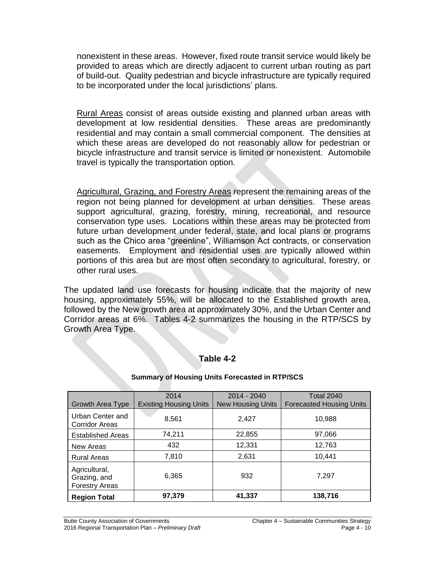nonexistent in these areas. However, fixed route transit service would likely be provided to areas which are directly adjacent to current urban routing as part of build-out. Quality pedestrian and bicycle infrastructure are typically required to be incorporated under the local jurisdictions' plans.

Rural Areas consist of areas outside existing and planned urban areas with development at low residential densities. These areas are predominantly residential and may contain a small commercial component. The densities at which these areas are developed do not reasonably allow for pedestrian or bicycle infrastructure and transit service is limited or nonexistent. Automobile travel is typically the transportation option.

Agricultural, Grazing, and Forestry Areas represent the remaining areas of the region not being planned for development at urban densities. These areas support agricultural, grazing, forestry, mining, recreational, and resource conservation type uses. Locations within these areas may be protected from future urban development under federal, state, and local plans or programs such as the Chico area "greenline", Williamson Act contracts, or conservation easements. Employment and residential uses are typically allowed within portions of this area but are most often secondary to agricultural, forestry, or other rural uses.

The updated land use forecasts for housing indicate that the majority of new housing, approximately 55%, will be allocated to the Established growth area, followed by the New growth area at approximately 30%, and the Urban Center and Corridor areas at 6%. Tables 4-2 summarizes the housing in the RTP/SCS by Growth Area Type.

### **Table 4-2**

|                                                        | 2014                          | 2014 - 2040              | <b>Total 2040</b>               |
|--------------------------------------------------------|-------------------------------|--------------------------|---------------------------------|
| Growth Area Type                                       | <b>Existing Housing Units</b> | <b>New Housing Units</b> | <b>Forecasted Housing Units</b> |
| Urban Center and<br><b>Corridor Areas</b>              | 8,561                         | 2,427                    | 10,988                          |
| <b>Established Areas</b>                               | 74,211                        | 22,855                   | 97,066                          |
| New Areas                                              | 432                           | 12,331                   | 12,763                          |
| <b>Rural Areas</b>                                     | 7,810                         | 2,631                    | 10,441                          |
| Agricultural,<br>Grazing, and<br><b>Forestry Areas</b> | 6,365                         | 932                      | 7.297                           |
| <b>Region Total</b>                                    | 97,379                        | 41,337                   | 138,716                         |

#### **Summary of Housing Units Forecasted in RTP/SCS**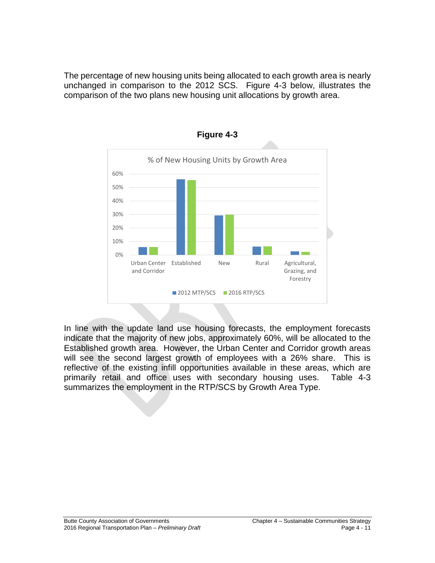The percentage of new housing units being allocated to each growth area is nearly unchanged in comparison to the 2012 SCS. Figure 4-3 below, illustrates the comparison of the two plans new housing unit allocations by growth area.





In line with the update land use housing forecasts, the employment forecasts indicate that the majority of new jobs, approximately 60%, will be allocated to the Established growth area. However, the Urban Center and Corridor growth areas will see the second largest growth of employees with a 26% share. This is reflective of the existing infill opportunities available in these areas, which are primarily retail and office uses with secondary housing uses. Table 4-3 summarizes the employment in the RTP/SCS by Growth Area Type.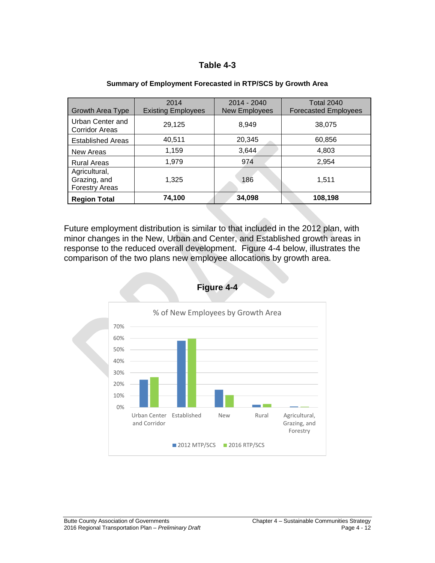### **Table 4-3**

| <b>Growth Area Type</b>                                | 2014<br><b>Existing Employees</b> | $2014 - 2040$<br><b>New Employees</b> | <b>Total 2040</b><br><b>Forecasted Employees</b> |  |
|--------------------------------------------------------|-----------------------------------|---------------------------------------|--------------------------------------------------|--|
| Urban Center and<br><b>Corridor Areas</b>              | 29,125                            | 8,949                                 | 38,075                                           |  |
| <b>Established Areas</b>                               | 40,511                            | 20,345                                | 60,856                                           |  |
| New Areas                                              | 1,159                             | 3,644                                 | 4,803                                            |  |
| <b>Rural Areas</b>                                     | 1,979                             | 974                                   | 2,954                                            |  |
| Agricultural,<br>Grazing, and<br><b>Forestry Areas</b> | 1,325                             | 186                                   | 1,511                                            |  |
| <b>Region Total</b>                                    | 74,100                            | 34,098                                | 108,198                                          |  |

#### **Summary of Employment Forecasted in RTP/SCS by Growth Area**

Future employment distribution is similar to that included in the 2012 plan, with minor changes in the New, Urban and Center, and Established growth areas in response to the reduced overall development. Figure 4-4 below, illustrates the comparison of the two plans new employee allocations by growth area.



#### **Figure 4-4**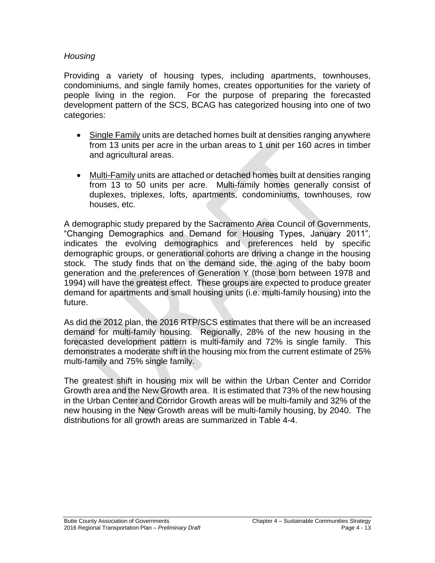### *Housing*

Providing a variety of housing types, including apartments, townhouses, condominiums, and single family homes, creates opportunities for the variety of people living in the region. For the purpose of preparing the forecasted development pattern of the SCS, BCAG has categorized housing into one of two categories:

- Single Family units are detached homes built at densities ranging anywhere from 13 units per acre in the urban areas to 1 unit per 160 acres in timber and agricultural areas.
- Multi-Family units are attached or detached homes built at densities ranging from 13 to 50 units per acre. Multi-family homes generally consist of duplexes, triplexes, lofts, apartments, condominiums, townhouses, row houses, etc.

A demographic study prepared by the Sacramento Area Council of Governments, "Changing Demographics and Demand for Housing Types, January 2011", indicates the evolving demographics and preferences held by specific demographic groups, or generational cohorts are driving a change in the housing stock. The study finds that on the demand side, the aging of the baby boom generation and the preferences of Generation Y (those born between 1978 and 1994) will have the greatest effect. These groups are expected to produce greater demand for apartments and small housing units (i.e. multi-family housing) into the future.

As did the 2012 plan, the 2016 RTP/SCS estimates that there will be an increased demand for multi-family housing. Regionally, 28% of the new housing in the forecasted development pattern is multi-family and 72% is single family. This demonstrates a moderate shift in the housing mix from the current estimate of 25% multi-family and 75% single family.

The greatest shift in housing mix will be within the Urban Center and Corridor Growth area and the New Growth area. It is estimated that 73% of the new housing in the Urban Center and Corridor Growth areas will be multi-family and 32% of the new housing in the New Growth areas will be multi-family housing, by 2040. The distributions for all growth areas are summarized in Table 4-4.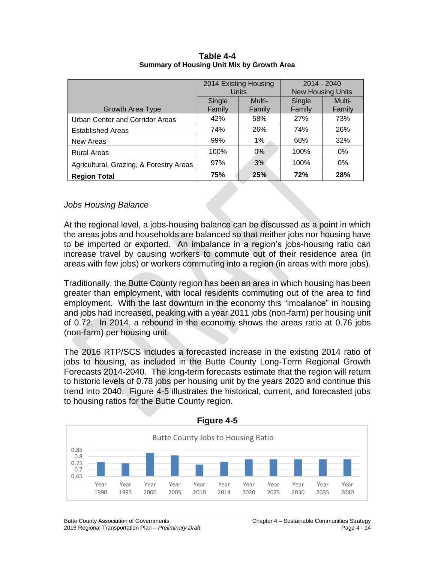|                                         | 2014 Existing Housing<br><b>Units</b> |                  | $2014 - 2040$<br><b>New Housing Units</b> |                  |
|-----------------------------------------|---------------------------------------|------------------|-------------------------------------------|------------------|
| Growth Area Type                        | Single<br>Family                      | Multi-<br>Family | Single<br>Family                          | Multi-<br>Family |
| Urban Center and Corridor Areas         | 42%                                   | 58%              | <b>27%</b>                                | 73%              |
| <b>Established Areas</b>                | 74%                                   | 26%              | 74%                                       | 26%              |
| New Areas                               | 99%                                   | 1%               | 68%                                       | 32%              |
| <b>Rural Areas</b>                      | 100%                                  | 0%               | 100%                                      | $0\%$            |
| Agricultural, Grazing, & Forestry Areas | 97%                                   | 3%               | 100%                                      | 0%               |
| <b>Region Total</b>                     | 75%                                   | 25%              | <b>72%</b>                                | 28%              |

**Table 4-4 Summary of Housing Unit Mix by Growth Area**

### *Jobs Housing Balance*

At the regional level, a jobs-housing balance can be discussed as a point in which the areas jobs and households are balanced so that neither jobs nor housing have to be imported or exported. An imbalance in a region's jobs-housing ratio can increase travel by causing workers to commute out of their residence area (in areas with few jobs) or workers commuting into a region (in areas with more jobs).

Traditionally, the Butte County region has been an area in which housing has been greater than employment, with local residents commuting out of the area to find employment. With the last downturn in the economy this "imbalance" in housing and jobs had increased, peaking with a year 2011 jobs (non-farm) per housing unit of 0.72. In 2014, a rebound in the economy shows the areas ratio at 0.76 jobs (non-farm) per housing unit.

The 2016 RTP/SCS includes a forecasted increase in the existing 2014 ratio of jobs to housing, as included in the Butte County Long-Term Regional Growth Forecasts 2014-2040. The long-term forecasts estimate that the region will return to historic levels of 0.78 jobs per housing unit by the years 2020 and continue this trend into 2040. Figure 4-5 illustrates the historical, current, and forecasted jobs to housing ratios for the Butte County region.

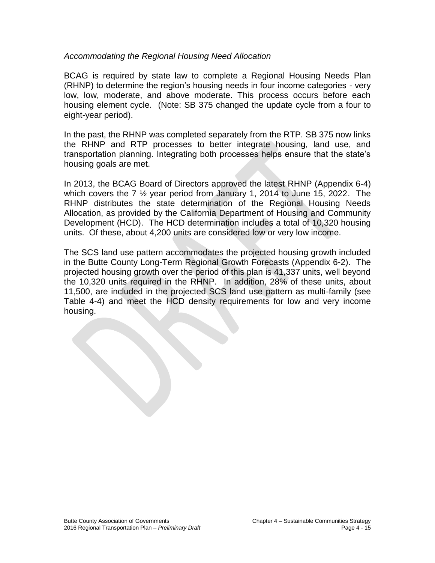### *Accommodating the Regional Housing Need Allocation*

BCAG is required by state law to complete a Regional Housing Needs Plan (RHNP) to determine the region's housing needs in four income categories - very low, low, moderate, and above moderate. This process occurs before each housing element cycle. (Note: SB 375 changed the update cycle from a four to eight-year period).

In the past, the RHNP was completed separately from the RTP. SB 375 now links the RHNP and RTP processes to better integrate housing, land use, and transportation planning. Integrating both processes helps ensure that the state's housing goals are met.

In 2013, the BCAG Board of Directors approved the latest RHNP (Appendix 6-4) which covers the 7 ½ year period from January 1, 2014 to June 15, 2022. The RHNP distributes the state determination of the Regional Housing Needs Allocation, as provided by the California Department of Housing and Community Development (HCD). The HCD determination includes a total of 10,320 housing units. Of these, about 4,200 units are considered low or very low income.

The SCS land use pattern accommodates the projected housing growth included in the Butte County Long-Term Regional Growth Forecasts (Appendix 6-2). The projected housing growth over the period of this plan is 41,337 units, well beyond the 10,320 units required in the RHNP. In addition, 28% of these units, about 11,500, are included in the projected SCS land use pattern as multi-family (see Table 4-4) and meet the HCD density requirements for low and very income housing.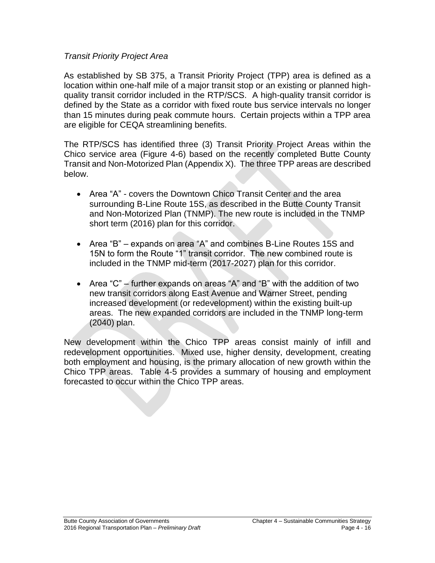### *Transit Priority Project Area*

As established by SB 375, a Transit Priority Project (TPP) area is defined as a location within one-half mile of a major transit stop or an existing or planned highquality transit corridor included in the RTP/SCS. A high-quality transit corridor is defined by the State as a corridor with fixed route bus service intervals no longer than 15 minutes during peak commute hours. Certain projects within a TPP area are eligible for CEQA streamlining benefits.

The RTP/SCS has identified three (3) Transit Priority Project Areas within the Chico service area (Figure 4-6) based on the recently completed Butte County Transit and Non-Motorized Plan (Appendix X). The three TPP areas are described below.

- Area "A" covers the Downtown Chico Transit Center and the area surrounding B-Line Route 15S, as described in the Butte County Transit and Non-Motorized Plan (TNMP). The new route is included in the TNMP short term (2016) plan for this corridor.
- Area "B" expands on area "A" and combines B-Line Routes 15S and 15N to form the Route "1" transit corridor. The new combined route is included in the TNMP mid-term (2017-2027) plan for this corridor.
- Area "C" further expands on areas "A" and "B" with the addition of two new transit corridors along East Avenue and Warner Street, pending increased development (or redevelopment) within the existing built-up areas. The new expanded corridors are included in the TNMP long-term (2040) plan.

New development within the Chico TPP areas consist mainly of infill and redevelopment opportunities. Mixed use, higher density, development, creating both employment and housing, is the primary allocation of new growth within the Chico TPP areas. Table 4-5 provides a summary of housing and employment forecasted to occur within the Chico TPP areas.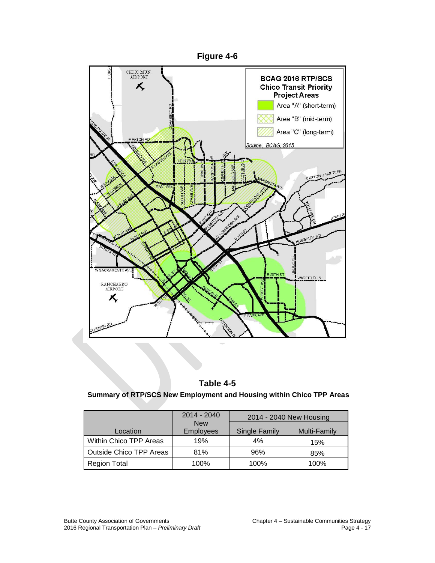

# **Table 4-5**

#### **Summary of RTP/SCS New Employment and Housing within Chico TPP Areas**

|                                | $2014 - 2040$                  | 2014 - 2040 New Housing |              |  |
|--------------------------------|--------------------------------|-------------------------|--------------|--|
| Location                       | <b>New</b><br><b>Employees</b> | <b>Single Family</b>    | Multi-Family |  |
| Within Chico TPP Areas         | 19%                            | 4%                      | 15%          |  |
| <b>Outside Chico TPP Areas</b> | 81%                            | 96%                     | 85%          |  |
| <b>Region Total</b>            | 100%                           | 100%                    | 100%         |  |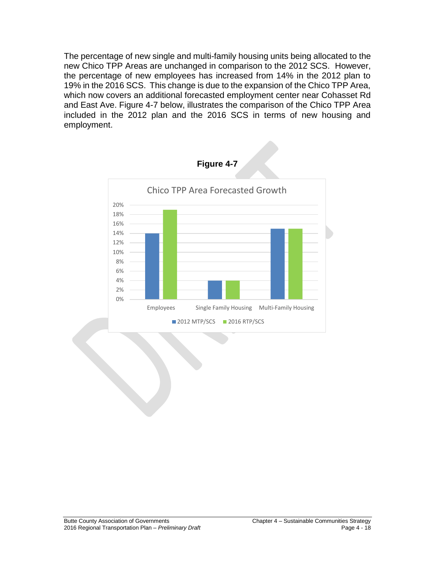The percentage of new single and multi-family housing units being allocated to the new Chico TPP Areas are unchanged in comparison to the 2012 SCS. However, the percentage of new employees has increased from 14% in the 2012 plan to 19% in the 2016 SCS. This change is due to the expansion of the Chico TPP Area, which now covers an additional forecasted employment center near Cohasset Rd and East Ave. Figure 4-7 below, illustrates the comparison of the Chico TPP Area included in the 2012 plan and the 2016 SCS in terms of new housing and employment.

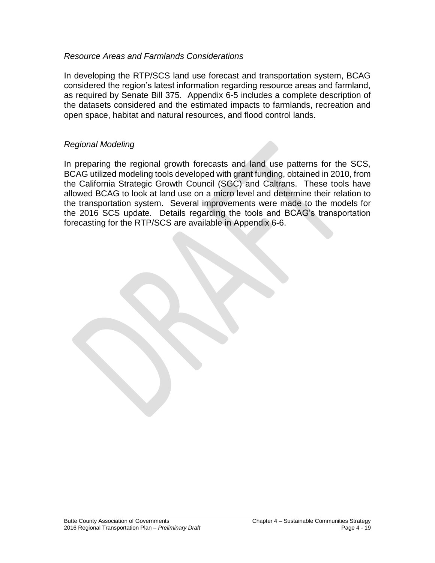### *Resource Areas and Farmlands Considerations*

In developing the RTP/SCS land use forecast and transportation system, BCAG considered the region's latest information regarding resource areas and farmland, as required by Senate Bill 375. Appendix 6-5 includes a complete description of the datasets considered and the estimated impacts to farmlands, recreation and open space, habitat and natural resources, and flood control lands.

### *Regional Modeling*

In preparing the regional growth forecasts and land use patterns for the SCS, BCAG utilized modeling tools developed with grant funding, obtained in 2010, from the California Strategic Growth Council (SGC) and Caltrans. These tools have allowed BCAG to look at land use on a micro level and determine their relation to the transportation system. Several improvements were made to the models for the 2016 SCS update. Details regarding the tools and BCAG's transportation forecasting for the RTP/SCS are available in Appendix 6-6.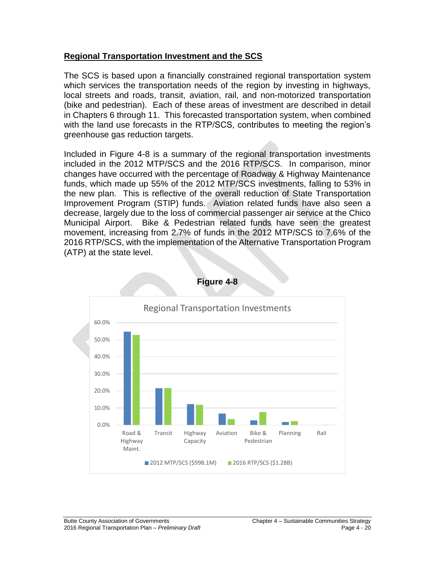### **Regional Transportation Investment and the SCS**

The SCS is based upon a financially constrained regional transportation system which services the transportation needs of the region by investing in highways, local streets and roads, transit, aviation, rail, and non-motorized transportation (bike and pedestrian). Each of these areas of investment are described in detail in Chapters 6 through 11. This forecasted transportation system, when combined with the land use forecasts in the RTP/SCS, contributes to meeting the region's greenhouse gas reduction targets.

Included in Figure 4-8 is a summary of the regional transportation investments included in the 2012 MTP/SCS and the 2016 RTP/SCS. In comparison, minor changes have occurred with the percentage of Roadway & Highway Maintenance funds, which made up 55% of the 2012 MTP/SCS investments, falling to 53% in the new plan. This is reflective of the overall reduction of State Transportation Improvement Program (STIP) funds. Aviation related funds have also seen a decrease, largely due to the loss of commercial passenger air service at the Chico Municipal Airport. Bike & Pedestrian related funds have seen the greatest movement, increasing from 2.7% of funds in the 2012 MTP/SCS to 7.6% of the 2016 RTP/SCS, with the implementation of the Alternative Transportation Program (ATP) at the state level.



**Figure 4-8**